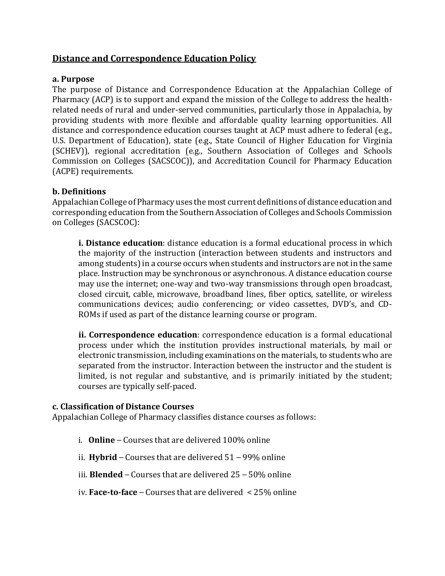# **Distance and Correspondence Education Policy**

#### **a. Purpose**

The purpose of Distance and Correspondence Education at the Appalachian College of Pharmacy (ACP) is to support and expand the mission of the College to address the healthrelated needs of rural and under-served communities, particularly those in Appalachia, by providing students with more flexible and affordable quality learning opportunities. All distance and correspondence education courses taught at ACP must adhere to federal (e.g., U.S. Department of Education), state (e.g., State Council of Higher Education for Virginia (SCHEV)), regional accreditation (e.g., Southern Association of Colleges and Schools Commission on Colleges (SACSCOC)), and Accreditation Council for Pharmacy Education (ACPE) requirements.

### **b. Definitions**

Appalachian College of Pharmacy uses the most current definitions of distance education and corresponding education from the Southern Association of Colleges and Schools Commission on Colleges (SACSCOC):

**i. Distance education**: distance education is a formal educational process in which the majority of the instruction (interaction between students and instructors and among students) in a course occurs when students and instructors are not in the same place. Instruction may be synchronous or asynchronous. A distance education course may use the internet; one-way and two-way transmissions through open broadcast, closed circuit, cable, microwave, broadband lines, fiber optics, satellite, or wireless communications devices; audio conferencing; or video cassettes, DVD's, and CD-ROMs if used as part of the distance learning course or program.

**ii. Correspondence education**: correspondence education is a formal educational process under which the institution provides instructional materials, by mail or electronic transmission, including examinations on the materials, to students who are separated from the instructor. Interaction between the instructor and the student is limited, is not regular and substantive, and is primarily initiated by the student; courses are typically self-paced.

#### **c. Classification of Distance Courses**

Appalachian College of Pharmacy classifies distance courses as follows:

- i. **Online** Courses that are delivered 100% online
- ii. **Hybrid** Courses that are delivered 51 99% online
- iii. **Blended** Courses that are delivered 25 50% online
- iv. **Face-to-face** Courses that are delivered < 25% online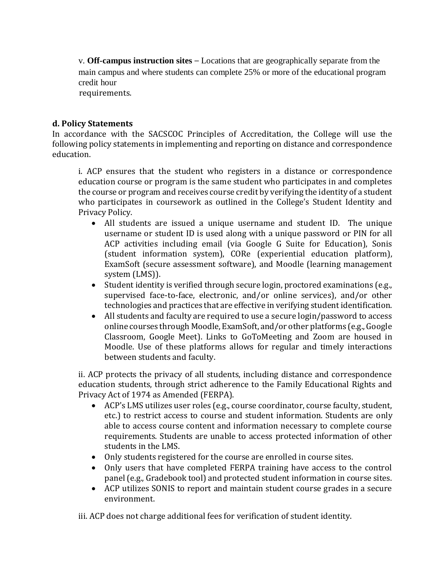v. **Off-campus instruction sites** – Locations that are geographically separate from the main campus and where students can complete 25% or more of the educational program credit hour

requirements.

## **d. Policy Statements**

In accordance with the SACSCOC Principles of Accreditation, the College will use the following policy statements in implementing and reporting on distance and correspondence education.

i. ACP ensures that the student who registers in a distance or correspondence education course or program is the same student who participates in and completes the course or program and receives course credit by verifying the identity of a student who participates in coursework as outlined in the College's Student Identity and Privacy Policy.

- All students are issued a unique username and student ID. The unique username or student ID is used along with a unique password or PIN for all ACP activities including email (via Google G Suite for Education), Sonis (student information system), CORe (experiential education platform), ExamSoft (secure assessment software), and Moodle (learning management system (LMS)).
- Student identity is verified through secure login, proctored examinations (e.g., supervised face-to-face, electronic, and/or online services), and/or other technologies and practices that are effective in verifying student identification.
- All students and faculty are required to use a secure login/password to access online courses through Moodle, ExamSoft, and/or other platforms (e.g., Google Classroom, Google Meet). Links to GoToMeeting and Zoom are housed in Moodle. Use of these platforms allows for regular and timely interactions between students and faculty.

ii. ACP protects the privacy of all students, including distance and correspondence education students, through strict adherence to the Family Educational Rights and Privacy Act of 1974 as Amended (FERPA).

- ACP's LMS utilizes user roles (e.g., course coordinator, course faculty, student, etc.) to restrict access to course and student information. Students are only able to access course content and information necessary to complete course requirements. Students are unable to access protected information of other students in the LMS.
- Only students registered for the course are enrolled in course sites.
- Only users that have completed FERPA training have access to the control panel (e.g., Gradebook tool) and protected student information in course sites.
- ACP utilizes SONIS to report and maintain student course grades in a secure environment.

iii. ACP does not charge additional fees for verification of student identity.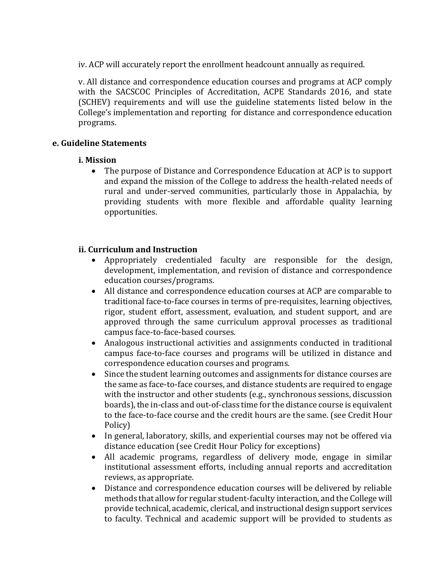iv. ACP will accurately report the enrollment headcount annually as required.

v. All distance and correspondence education courses and programs at ACP comply with the SACSCOC Principles of Accreditation, ACPE Standards 2016, and state (SCHEV) requirements and will use the guideline statements listed below in the College's implementation and reporting for distance and correspondence education programs.

#### **e. Guideline Statements**

#### **i. Mission**

 The purpose of Distance and Correspondence Education at ACP is to support and expand the mission of the College to address the health-related needs of rural and under-served communities, particularly those in Appalachia, by providing students with more flexible and affordable quality learning opportunities.

### **ii. Curriculum and Instruction**

- Appropriately credentialed faculty are responsible for the design, development, implementation, and revision of distance and correspondence education courses/programs.
- All distance and correspondence education courses at ACP are comparable to traditional face-to-face courses in terms of pre-requisites, learning objectives, rigor, student effort, assessment, evaluation, and student support, and are approved through the same curriculum approval processes as traditional campus face-to-face-based courses.
- Analogous instructional activities and assignments conducted in traditional campus face-to-face courses and programs will be utilized in distance and correspondence education courses and programs.
- Since the student learning outcomes and assignments for distance courses are the same as face-to-face courses, and distance students are required to engage with the instructor and other students (e.g., synchronous sessions, discussion boards), the in-class and out-of-class time for the distance course is equivalent to the face-to-face course and the credit hours are the same. (see Credit Hour Policy)
- In general, laboratory, skills, and experiential courses may not be offered via distance education (see Credit Hour Policy for exceptions)
- All academic programs, regardless of delivery mode, engage in similar institutional assessment efforts, including annual reports and accreditation reviews, as appropriate.
- Distance and correspondence education courses will be delivered by reliable methods that allow for regular student-faculty interaction, and the College will provide technical, academic, clerical, and instructional design support services to faculty. Technical and academic support will be provided to students as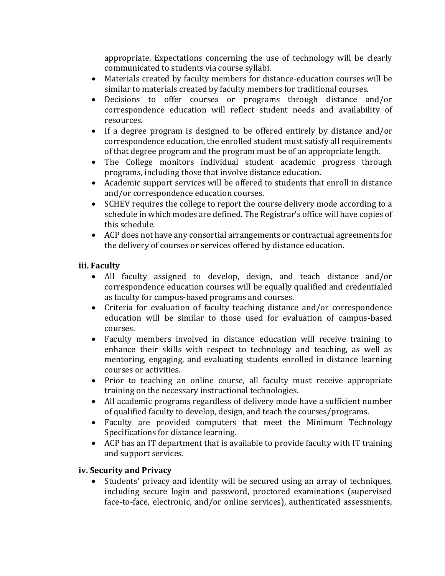appropriate. Expectations concerning the use of technology will be clearly communicated to students via course syllabi.

- Materials created by faculty members for distance-education courses will be similar to materials created by faculty members for traditional courses.
- Decisions to offer courses or programs through distance and/or correspondence education will reflect student needs and availability of resources.
- If a degree program is designed to be offered entirely by distance and/or correspondence education, the enrolled student must satisfy all requirements of that degree program and the program must be of an appropriate length.
- The College monitors individual student academic progress through programs, including those that involve distance education.
- Academic support services will be offered to students that enroll in distance and/or correspondence education courses.
- SCHEV requires the college to report the course delivery mode according to a schedule in which modes are defined. The Registrar's office will have copies of this schedule.
- ACP does not have any consortial arrangements or contractual agreements for the delivery of courses or services offered by distance education.

# **iii. Faculty**

- All faculty assigned to develop, design, and teach distance and/or correspondence education courses will be equally qualified and credentialed as faculty for campus-based programs and courses.
- Criteria for evaluation of faculty teaching distance and/or correspondence education will be similar to those used for evaluation of campus-based courses.
- Faculty members involved in distance education will receive training to enhance their skills with respect to technology and teaching, as well as mentoring, engaging, and evaluating students enrolled in distance learning courses or activities.
- Prior to teaching an online course, all faculty must receive appropriate training on the necessary instructional technologies.
- All academic programs regardless of delivery mode have a sufficient number of qualified faculty to develop, design, and teach the courses/programs.
- Faculty are provided computers that meet the Minimum Technology Specifications for distance learning.
- ACP has an IT department that is available to provide faculty with IT training and support services.

# **iv. Security and Privacy**

 Students' privacy and identity will be secured using an array of techniques, including secure login and password, proctored examinations (supervised face-to-face, electronic, and/or online services), authenticated assessments,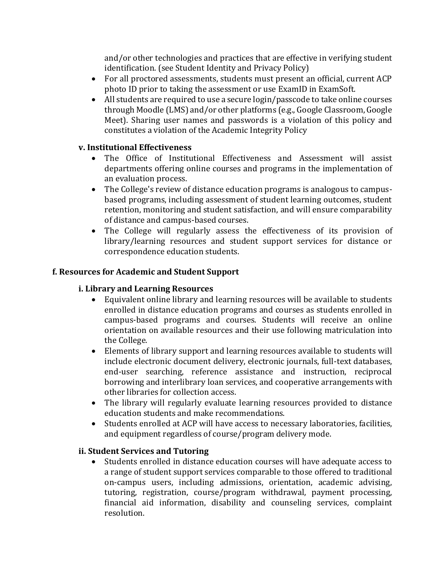and/or other technologies and practices that are effective in verifying student identification. (see Student Identity and Privacy Policy)

- For all proctored assessments, students must present an official, current ACP photo ID prior to taking the assessment or use ExamID in ExamSoft.
- All students are required to use a secure login/passcode to take online courses through Moodle (LMS) and/or other platforms (e.g., Google Classroom, Google Meet). Sharing user names and passwords is a violation of this policy and constitutes a violation of the Academic Integrity Policy

## **v. Institutional Effectiveness**

- The Office of Institutional Effectiveness and Assessment will assist departments offering online courses and programs in the implementation of an evaluation process.
- The College's review of distance education programs is analogous to campusbased programs, including assessment of student learning outcomes, student retention, monitoring and student satisfaction, and will ensure comparability of distance and campus-based courses.
- The College will regularly assess the effectiveness of its provision of library/learning resources and student support services for distance or correspondence education students.

## **f. Resources for Academic and Student Support**

### **i. Library and Learning Resources**

- Equivalent online library and learning resources will be available to students enrolled in distance education programs and courses as students enrolled in campus-based programs and courses. Students will receive an online orientation on available resources and their use following matriculation into the College.
- Elements of library support and learning resources available to students will include electronic document delivery, electronic journals, full-text databases, end-user searching, reference assistance and instruction, reciprocal borrowing and interlibrary loan services, and cooperative arrangements with other libraries for collection access.
- The library will regularly evaluate learning resources provided to distance education students and make recommendations.
- Students enrolled at ACP will have access to necessary laboratories, facilities, and equipment regardless of course/program delivery mode.

### **ii. Student Services and Tutoring**

 Students enrolled in distance education courses will have adequate access to a range of student support services comparable to those offered to traditional on-campus users, including admissions, orientation, academic advising, tutoring, registration, course/program withdrawal, payment processing, financial aid information, disability and counseling services, complaint resolution.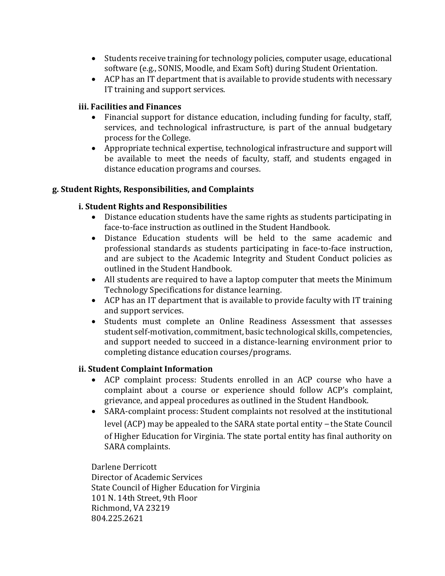- Students receive training for technology policies, computer usage, educational software (e.g., SONIS, Moodle, and Exam Soft) during Student Orientation.
- ACP has an IT department that is available to provide students with necessary IT training and support services.

# **iii. Facilities and Finances**

- Financial support for distance education, including funding for faculty, staff, services, and technological infrastructure, is part of the annual budgetary process for the College.
- Appropriate technical expertise, technological infrastructure and support will be available to meet the needs of faculty, staff, and students engaged in distance education programs and courses.

## **g. Student Rights, Responsibilities, and Complaints**

# **i. Student Rights and Responsibilities**

- Distance education students have the same rights as students participating in face-to-face instruction as outlined in the Student Handbook.
- Distance Education students will be held to the same academic and professional standards as students participating in face-to-face instruction, and are subject to the Academic Integrity and Student Conduct policies as outlined in the Student Handbook.
- All students are required to have a laptop computer that meets the Minimum Technology Specifications for distance learning.
- ACP has an IT department that is available to provide faculty with IT training and support services.
- Students must complete an Online Readiness Assessment that assesses student self-motivation, commitment, basic technological skills, competencies, and support needed to succeed in a distance-learning environment prior to completing distance education courses/programs.

### **ii. Student Complaint Information**

- ACP complaint process: Students enrolled in an ACP course who have a complaint about a course or experience should follow ACP's complaint, grievance, and appeal procedures as outlined in the Student Handbook.
- SARA-complaint process: Student complaints not resolved at the institutional level (ACP) may be appealed to the SARA state portal entity – the State Council of Higher Education for Virginia. The state portal entity has final authority on SARA complaints.

Darlene Derricott Director of Academic Services State Council of Higher Education for Virginia 101 N. 14th Street, 9th Floor Richmond, VA 23219 804.225.2621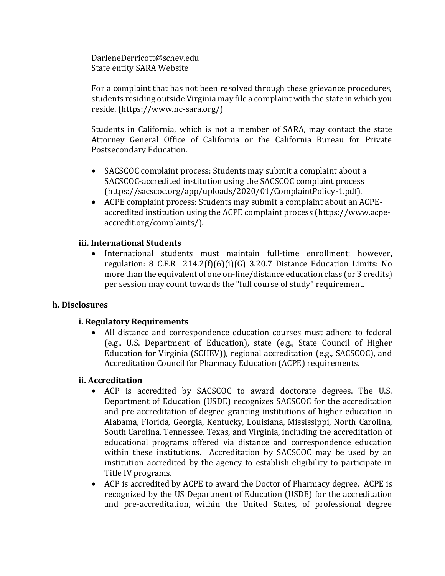DarleneDerricott@schev.edu State entity SARA Website

For a complaint that has not been resolved through these grievance procedures, students residing outside Virginia may file a complaint with the state in which you reside. (https://www.nc-sara.org/)

Students in California, which is not a member of SARA, may contact the state Attorney General Office of California or the California Bureau for Private Postsecondary Education.

- SACSCOC complaint process: Students may submit a complaint about a SACSCOC-accredited institution using the SACSCOC complaint process (https://sacscoc.org/app/uploads/2020/01/ComplaintPolicy-1.pdf).
- ACPE complaint process: Students may submit a complaint about an ACPEaccredited institution using the ACPE complaint process (https://www.acpeaccredit.org/complaints/).

## **iii. International Students**

 International students must maintain full-time enrollment; however, regulation: 8 C.F.R 214.2(f)(6)(i)(G) 3.20.7 Distance Education Limits: No more than the equivalent of one on-line/distance education class (or 3 credits) per session may count towards the "full course of study" requirement.

### **h. Disclosures**

### **i. Regulatory Requirements**

 All distance and correspondence education courses must adhere to federal (e.g., U.S. Department of Education), state (e.g., State Council of Higher Education for Virginia (SCHEV)), regional accreditation (e.g., SACSCOC), and Accreditation Council for Pharmacy Education (ACPE) requirements.

### **ii. Accreditation**

- ACP is accredited by SACSCOC to award doctorate degrees. The U.S. Department of Education (USDE) recognizes SACSCOC for the accreditation and pre-accreditation of degree-granting institutions of higher education in Alabama, Florida, Georgia, Kentucky, Louisiana, Mississippi, North Carolina, South Carolina, Tennessee, Texas, and Virginia, including the accreditation of educational programs offered via distance and correspondence education within these institutions. Accreditation by SACSCOC may be used by an institution accredited by the agency to establish eligibility to participate in Title IV programs.
- ACP is accredited by ACPE to award the Doctor of Pharmacy degree. ACPE is recognized by the US Department of Education (USDE) for the accreditation and pre-accreditation, within the United States, of professional degree